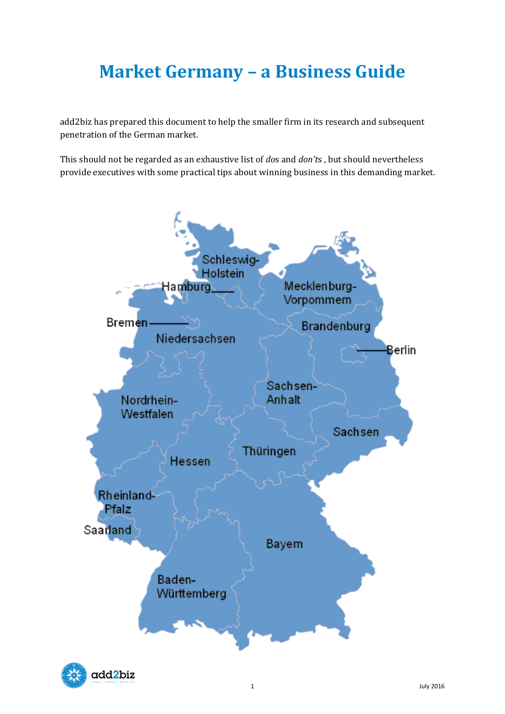# **Market Germany – a Business Guide**

add2biz has prepared this document to help the smaller firm in its research and subsequent penetration of the German market.

This should not be regarded as an exhaustive list of *do*s and *don't*s , but should nevertheless provide executives with some practical tips about winning business in this demanding market.



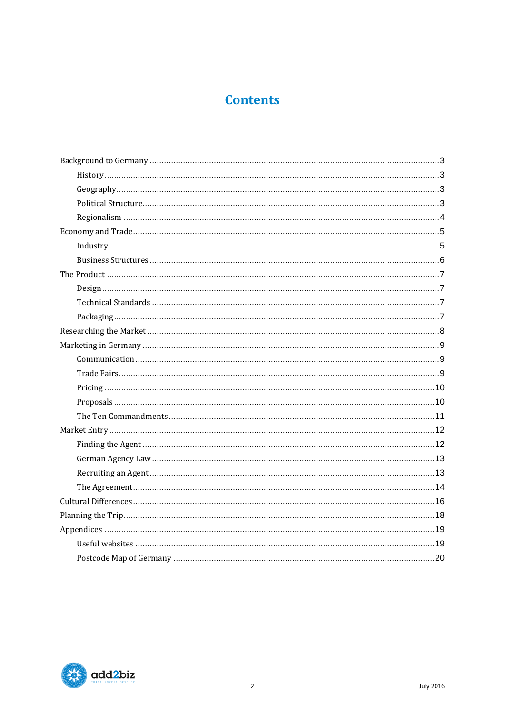# **Contents**

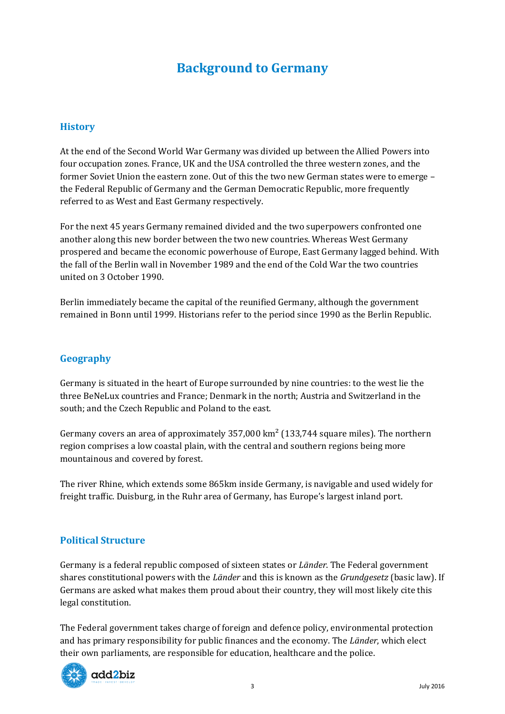# **Background to Germany**

## <span id="page-2-1"></span><span id="page-2-0"></span>**History**

At the end of the Second World War Germany was divided up between the Allied Powers into four occupation zones. France, UK and the USA controlled the three western zones, and the former Soviet Union the eastern zone. Out of this the two new German states were to emerge – the Federal Republic of Germany and the German Democratic Republic, more frequently referred to as West and East Germany respectively.

For the next 45 years Germany remained divided and the two superpowers confronted one another along this new border between the two new countries. Whereas West Germany prospered and became the economic powerhouse of Europe, East Germany lagged behind. With the fall of the Berlin wall in November 1989 and the end of the Cold War the two countries united on 3 October 1990.

Berlin immediately became the capital of the reunified Germany, although the government remained in Bonn until 1999. Historians refer to the period since 1990 as the Berlin Republic.

# <span id="page-2-2"></span>**Geography**

Germany is situated in the heart of Europe surrounded by nine countries: to the west lie the three BeNeLux countries and France; Denmark in the north; Austria and Switzerland in the south; and the Czech Republic and Poland to the east.

Germany covers an area of approximately  $357,000 \text{ km}^2$  (133,744 square miles). The northern region comprises a low coastal plain, with the central and southern regions being more mountainous and covered by forest.

The river Rhine, which extends some 865km inside Germany, is navigable and used widely for freight traffic. Duisburg, in the Ruhr area of Germany, has Europe's largest inland port.

## <span id="page-2-3"></span>**Political Structure**

Germany is a federal republic composed of sixteen states or *Länder*. The Federal government shares constitutional powers with the *Länder* and this is known as the *Grundgesetz* (basic law). If Germans are asked what makes them proud about their country, they will most likely cite this legal constitution.

The Federal government takes charge of foreign and defence policy, environmental protection and has primary responsibility for public finances and the economy. The *Länder*, which elect their own parliaments, are responsible for education, healthcare and the police.

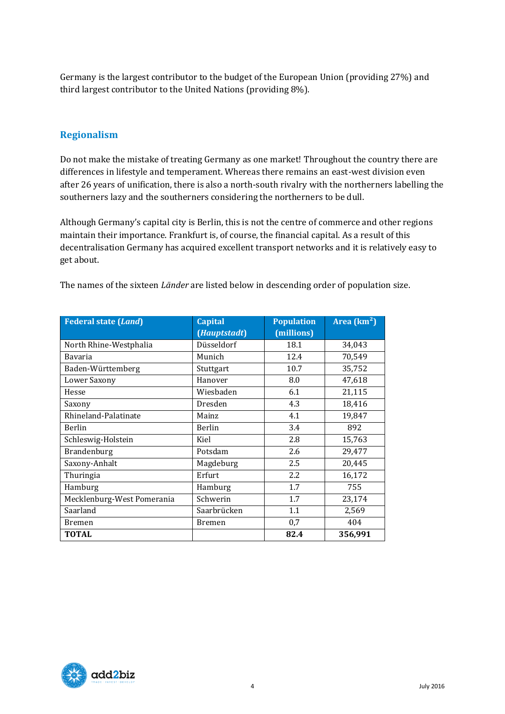Germany is the largest contributor to the budget of the European Union (providing 27%) and third largest contributor to the United Nations (providing 8%).

# <span id="page-3-0"></span>**Regionalism**

Do not make the mistake of treating Germany as one market! Throughout the country there are differences in lifestyle and temperament. Whereas there remains an east-west division even after 26 years of unification, there is also a north-south rivalry with the northerners labelling the southerners lazy and the southerners considering the northerners to be dull.

Although Germany's capital city is Berlin, this is not the centre of commerce and other regions maintain their importance. Frankfurt is, of course, the financial capital. As a result of this decentralisation Germany has acquired excellent transport networks and it is relatively easy to get about.

| <b>Federal state (Land)</b> | <b>Capital</b> | <b>Population</b> | Area $(km2)$ |
|-----------------------------|----------------|-------------------|--------------|
|                             | (Hauptstadt)   | (millions)        |              |
| North Rhine-Westphalia      | Düsseldorf     | 18.1              | 34,043       |
| <b>Bavaria</b>              | Munich         | 12.4              | 70,549       |
| Baden-Württemberg           | Stuttgart      | 10.7              | 35,752       |
| Lower Saxony                | Hanover        | 8.0               | 47,618       |
| Hesse                       | Wiesbaden      | 6.1               | 21,115       |
| Saxony                      | Dresden        | 4.3               | 18,416       |
| Rhineland-Palatinate        | Mainz          | 4.1               | 19,847       |
| Berlin                      | Berlin         | 3.4               | 892          |
| Schleswig-Holstein          | Kiel           | 2.8               | 15,763       |
| Brandenburg                 | Potsdam        | 2.6               | 29,477       |
| Saxony-Anhalt               | Magdeburg      | 2.5               | 20,445       |
| Thuringia                   | Erfurt         | 2.2               | 16,172       |
| Hamburg                     | Hamburg        | 1.7               | 755          |
| Mecklenburg-West Pomerania  | Schwerin       | 1.7               | 23,174       |
| Saarland                    | Saarbrücken    | 1.1               | 2,569        |
| <b>Bremen</b>               | <b>Bremen</b>  | 0,7               | 404          |
| <b>TOTAL</b>                |                | 82.4              | 356,991      |

The names of the sixteen *Länder* are listed below in descending order of population size.

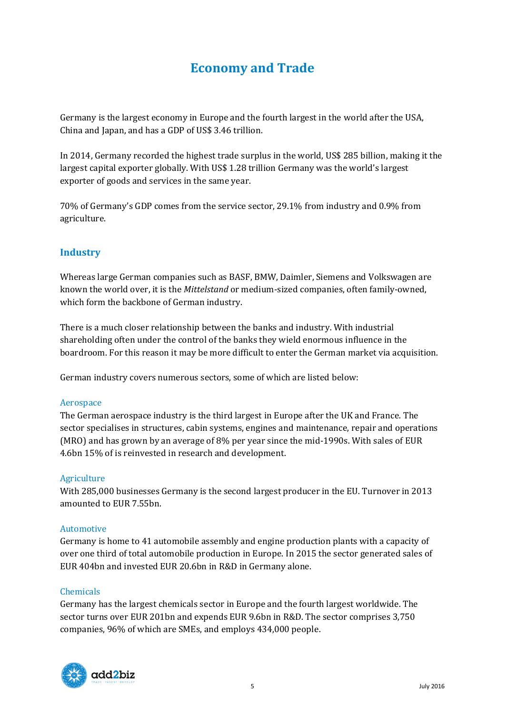# **Economy and Trade**

<span id="page-4-0"></span>Germany is the largest economy in Europe and the fourth largest in the world after the USA, China and Japan, and has a GDP of US\$ 3.46 trillion.

In 2014, Germany recorded the highest trade surplus in the world, US\$ 285 billion, making it the largest capital exporter globally. With US\$ 1.28 trillion Germany was the world's largest exporter of goods and services in the same year.

70% of Germany's GDP comes from the service sector, 29.1% from industry and 0.9% from agriculture.

# <span id="page-4-1"></span>**Industry**

Whereas large German companies such as BASF, BMW, Daimler, Siemens and Volkswagen are known the world over, it is the *Mittelstand* or medium-sized companies, often family-owned, which form the backbone of German industry.

There is a much closer relationship between the banks and industry. With industrial shareholding often under the control of the banks they wield enormous influence in the boardroom. For this reason it may be more difficult to enter the German market via acquisition.

German industry covers numerous sectors, some of which are listed below:

#### Aerospace

The German aerospace industry is the third largest in Europe after the UK and France. The sector specialises in structures, cabin systems, engines and maintenance, repair and operations (MRO) and has grown by an average of 8% per year since the mid-1990s. With sales of EUR 4.6bn 15% of is reinvested in research and development.

#### Agriculture

With 285,000 businesses Germany is the second largest producer in the EU. Turnover in 2013 amounted to EUR 7.55bn.

#### Automotive

Germany is home to 41 automobile assembly and engine production plants with a capacity of over one third of total automobile production in Europe. In 2015 the sector generated sales of EUR 404bn and invested EUR 20.6bn in R&D in Germany alone.

#### Chemicals

Germany has the largest chemicals sector in Europe and the fourth largest worldwide. The sector turns over EUR 201bn and expends EUR 9.6bn in R&D. The sector comprises 3,750 companies, 96% of which are SMEs, and employs 434,000 people.

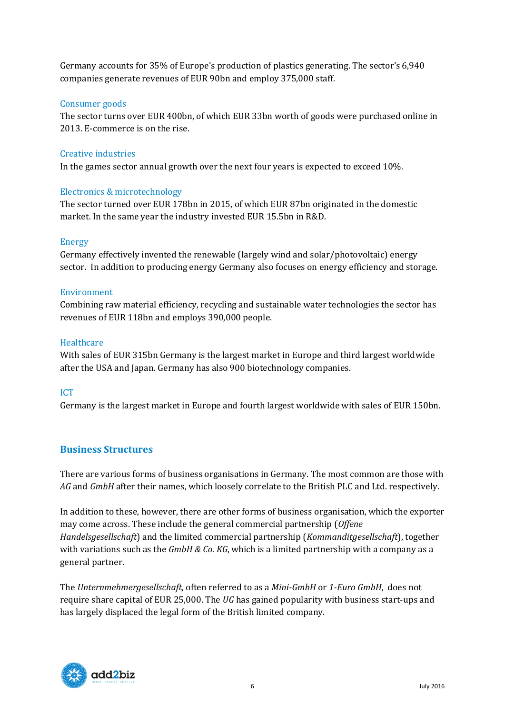Germany accounts for 35% of Europe's production of plastics generating. The sector's 6,940 companies generate revenues of EUR 90bn and employ 375,000 staff.

#### Consumer goods

The sector turns over EUR 400bn, of which EUR 33bn worth of goods were purchased online in 2013. E-commerce is on the rise.

### Creative industries

In the games sector annual growth over the next four years is expected to exceed 10%.

### Electronics & microtechnology

The sector turned over EUR 178bn in 2015, of which EUR 87bn originated in the domestic market. In the same year the industry invested EUR 15.5bn in R&D.

### Energy

Germany effectively invented the renewable (largely wind and solar/photovoltaic) energy sector. In addition to producing energy Germany also focuses on energy efficiency and storage.

#### Environment

Combining raw material efficiency, recycling and sustainable water technologies the sector has revenues of EUR 118bn and employs 390,000 people.

### **Healthcare**

With sales of EUR 315bn Germany is the largest market in Europe and third largest worldwide after the USA and Japan. Germany has also 900 biotechnology companies.

## ICT

Germany is the largest market in Europe and fourth largest worldwide with sales of EUR 150bn.

## <span id="page-5-0"></span>**Business Structures**

There are various forms of business organisations in Germany. The most common are those with *AG* and *GmbH* after their names, which loosely correlate to the British PLC and Ltd. respectively.

In addition to these, however, there are other forms of business organisation, which the exporter may come across. These include the general commercial partnership (*Offene Handelsgesellschaft*) and the limited commercial partnership (*Kommanditgesellschaft*), together with variations such as the *GmbH & Co. KG*, which is a limited partnership with a company as a general partner.

The *Unternmehmergesellschaft,* often referred to as a *Mini-GmbH* or *1-Euro GmbH*, does not require share capital of EUR 25,000. The *UG* has gained popularity with business start-ups and has largely displaced the legal form of the British limited company.

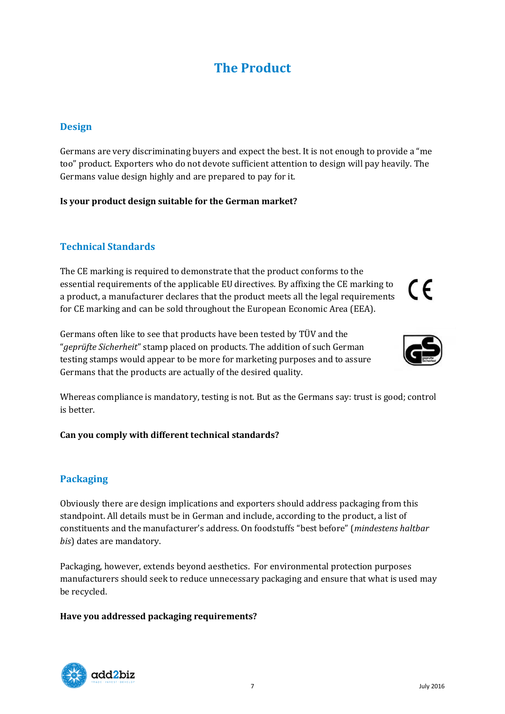# **The Product**

# <span id="page-6-1"></span><span id="page-6-0"></span>**Design**

Germans are very discriminating buyers and expect the best. It is not enough to provide a "me too" product. Exporters who do not devote sufficient attention to design will pay heavily. The Germans value design highly and are prepared to pay for it.

### **Is your product design suitable for the German market?**

# <span id="page-6-2"></span>**Technical Standards**

The CE marking is required to demonstrate that the product conforms to the essential requirements of the applicable EU directives. By affixing the CE marking to a product, a manufacturer declares that the product meets all the legal requirements for CE marking and can be sold throughout the European Economic Area (EEA).

Germans often like to see that products have been tested by TÜV and the "*geprüfte Sicherheit*" stamp placed on products. The addition of such German testing stamps would appear to be more for marketing purposes and to assure Germans that the products are actually of the desired quality.



#### **Can you comply with different technical standards?**

# <span id="page-6-3"></span>**Packaging**

Obviously there are design implications and exporters should address packaging from this standpoint. All details must be in German and include, according to the product, a list of constituents and the manufacturer's address. On foodstuffs "best before" (*mindestens haltbar bis*) dates are mandatory.

Packaging, however, extends beyond aesthetics. For environmental protection purposes manufacturers should seek to reduce unnecessary packaging and ensure that what is used may be recycled.

#### **Have you addressed packaging requirements?**





CE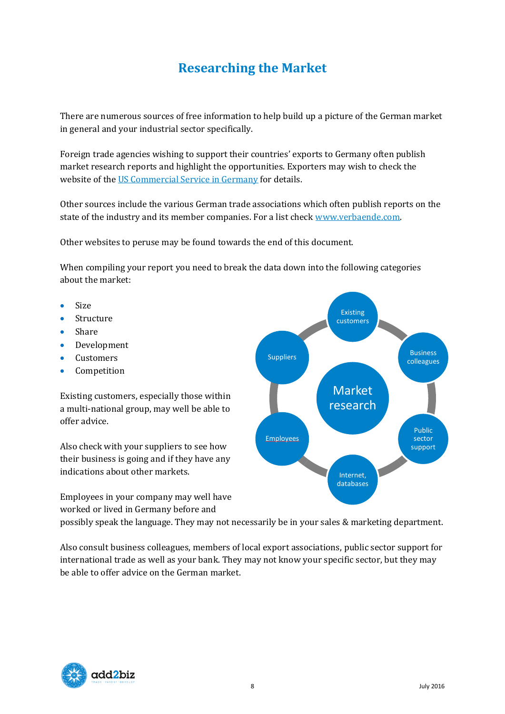# **Researching the Market**

<span id="page-7-0"></span>There are numerous sources of free information to help build up a picture of the German market in general and your industrial sector specifically.

Foreign trade agencies wishing to support their countries' exports to Germany often publish market research reports and highlight the opportunities. Exporters may wish to check the website of the [US Commercial Service in Germany](http://www.export.gov/germany/) for details.

Other sources include the various German trade associations which often publish reports on the state of the industry and its member companies. For a list check www.verbaende.com.

Other websites to peruse may be found towards the end of this document.

When compiling your report you need to break the data down into the following categories about the market:

- $\bullet$  Size
- Structure
- Share
- **•** Development
- Customers
- Competition

Existing customers, especially those within a multi-national group, may well be able to offer advice.

Also check with your suppliers to see how their business is going and if they have any indications about other markets.

Employees in your company may well have worked or lived in Germany before and



possibly speak the language. They may not necessarily be in your sales & marketing department.

Also consult business colleagues, members of local export associations, public sector support for international trade as well as your bank. They may not know your specific sector, but they may be able to offer advice on the German market.

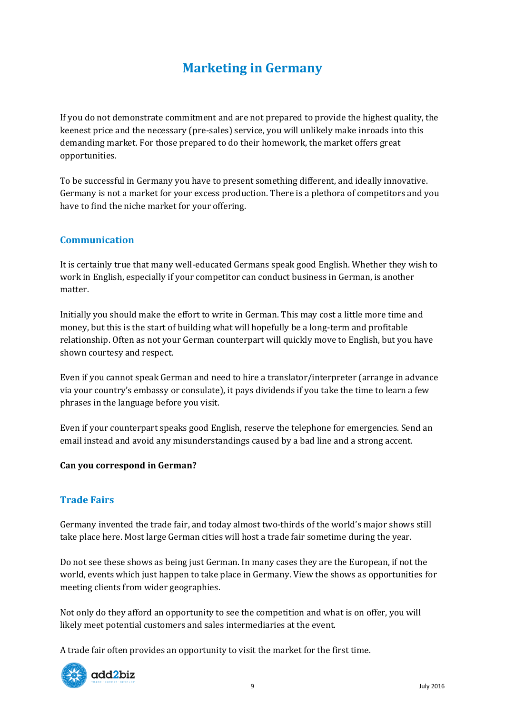# **Marketing in Germany**

<span id="page-8-0"></span>If you do not demonstrate commitment and are not prepared to provide the highest quality, the keenest price and the necessary (pre-sales) service, you will unlikely make inroads into this demanding market. For those prepared to do their homework, the market offers great opportunities.

To be successful in Germany you have to present something different, and ideally innovative. Germany is not a market for your excess production. There is a plethora of competitors and you have to find the niche market for your offering.

# <span id="page-8-1"></span>**Communication**

It is certainly true that many well-educated Germans speak good English. Whether they wish to work in English, especially if your competitor can conduct business in German, is another matter.

Initially you should make the effort to write in German. This may cost a little more time and money, but this is the start of building what will hopefully be a long-term and profitable relationship. Often as not your German counterpart will quickly move to English, but you have shown courtesy and respect.

Even if you cannot speak German and need to hire a translator/interpreter (arrange in advance via your country's embassy or consulate), it pays dividends if you take the time to learn a few phrases in the language before you visit.

Even if your counterpart speaks good English, reserve the telephone for emergencies. Send an email instead and avoid any misunderstandings caused by a bad line and a strong accent.

#### **Can you correspond in German?**

# <span id="page-8-2"></span>**Trade Fairs**

Germany invented the trade fair, and today almost two-thirds of the world's major shows still take place here. Most large German cities will host a trade fair sometime during the year.

Do not see these shows as being just German. In many cases they are the European, if not the world, events which just happen to take place in Germany. View the shows as opportunities for meeting clients from wider geographies.

Not only do they afford an opportunity to see the competition and what is on offer, you will likely meet potential customers and sales intermediaries at the event.

A trade fair often provides an opportunity to visit the market for the first time.

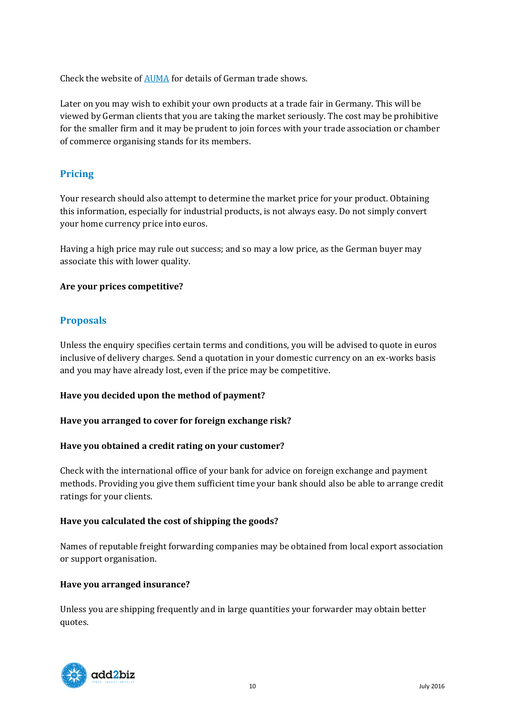Check the website of [AUMA](http://www.auma.de/en/Messedatenbank/Deutschland/Seiten/Default.aspx) for details of German trade shows.

Later on you may wish to exhibit your own products at a trade fair in Germany. This will be viewed by German clients that you are taking the market seriously. The cost may be prohibitive for the smaller firm and it may be prudent to join forces with your trade association or chamber of commerce organising stands for its members.

# <span id="page-9-0"></span>**Pricing**

Your research should also attempt to determine the market price for your product. Obtaining this information, especially for industrial products, is not always easy. Do not simply convert your home currency price into euros.

Having a high price may rule out success; and so may a low price, as the German buyer may associate this with lower quality.

### **Are your prices competitive?**

# <span id="page-9-1"></span>**Proposals**

Unless the enquiry specifies certain terms and conditions, you will be advised to quote in euros inclusive of delivery charges. Send a quotation in your domestic currency on an ex-works basis and you may have already lost, even if the price may be competitive.

#### **Have you decided upon the method of payment?**

#### **Have you arranged to cover for foreign exchange risk?**

#### **Have you obtained a credit rating on your customer?**

Check with the international office of your bank for advice on foreign exchange and payment methods. Providing you give them sufficient time your bank should also be able to arrange credit ratings for your clients.

#### **Have you calculated the cost of shipping the goods?**

Names of reputable freight forwarding companies may be obtained from local export association or support organisation.

#### **Have you arranged insurance?**

Unless you are shipping frequently and in large quantities your forwarder may obtain better quotes.

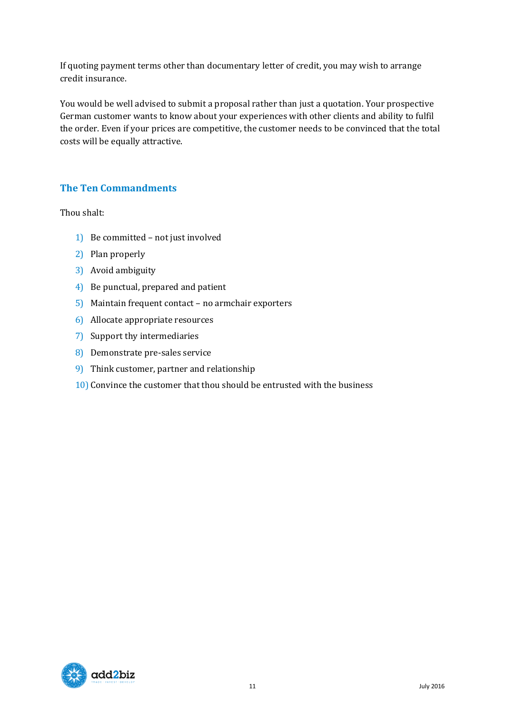If quoting payment terms other than documentary letter of credit, you may wish to arrange credit insurance.

You would be well advised to submit a proposal rather than just a quotation. Your prospective German customer wants to know about your experiences with other clients and ability to fulfil the order. Even if your prices are competitive, the customer needs to be convinced that the total costs will be equally attractive.

# <span id="page-10-0"></span>**The Ten Commandments**

Thou shalt:

- 1) Be committed not just involved
- 2) Plan properly
- 3) Avoid ambiguity
- 4) Be punctual, prepared and patient
- 5) Maintain frequent contact no armchair exporters
- 6) Allocate appropriate resources
- 7) Support thy intermediaries
- 8) Demonstrate pre-sales service
- 9) Think customer, partner and relationship
- 10) Convince the customer that thou should be entrusted with the business

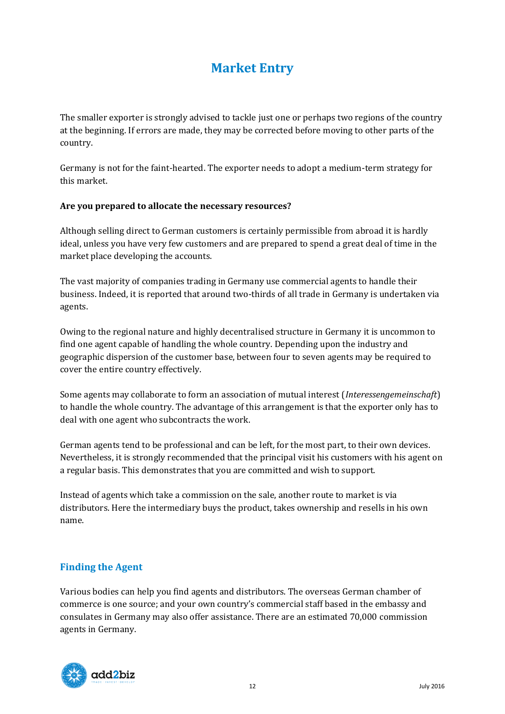# **Market Entry**

<span id="page-11-0"></span>The smaller exporter is strongly advised to tackle just one or perhaps two regions of the country at the beginning. If errors are made, they may be corrected before moving to other parts of the country.

Germany is not for the faint-hearted. The exporter needs to adopt a medium-term strategy for this market.

### **Are you prepared to allocate the necessary resources?**

Although selling direct to German customers is certainly permissible from abroad it is hardly ideal, unless you have very few customers and are prepared to spend a great deal of time in the market place developing the accounts.

The vast majority of companies trading in Germany use commercial agents to handle their business. Indeed, it is reported that around two-thirds of all trade in Germany is undertaken via agents.

Owing to the regional nature and highly decentralised structure in Germany it is uncommon to find one agent capable of handling the whole country. Depending upon the industry and geographic dispersion of the customer base, between four to seven agents may be required to cover the entire country effectively.

Some agents may collaborate to form an association of mutual interest (*Interessengemeinschaft*) to handle the whole country. The advantage of this arrangement is that the exporter only has to deal with one agent who subcontracts the work.

German agents tend to be professional and can be left, for the most part, to their own devices. Nevertheless, it is strongly recommended that the principal visit his customers with his agent on a regular basis. This demonstrates that you are committed and wish to support.

Instead of agents which take a commission on the sale, another route to market is via distributors. Here the intermediary buys the product, takes ownership and resells in his own name.

# <span id="page-11-1"></span>**Finding the Agent**

Various bodies can help you find agents and distributors. The overseas German chamber of commerce is one source; and your own country's commercial staff based in the embassy and consulates in Germany may also offer assistance. There are an estimated 70,000 commission agents in Germany.

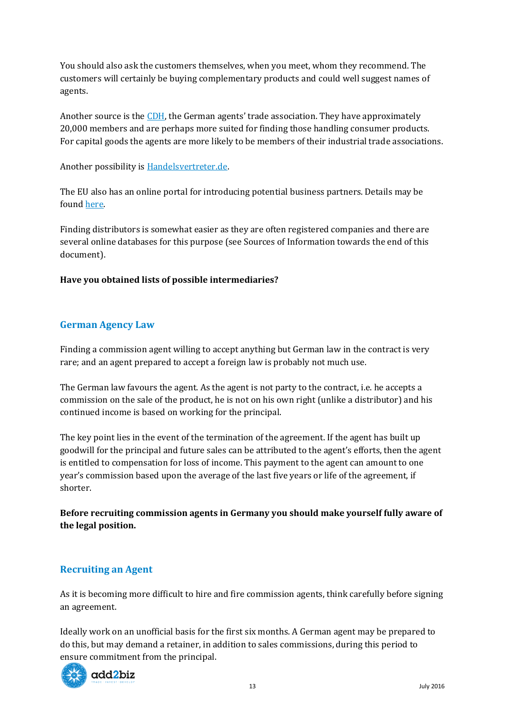You should also ask the customers themselves, when you meet, whom they recommend. The customers will certainly be buying complementary products and could well suggest names of agents.

Another source is the [CDH](http://en.cdh.de/), the German agents' trade association. They have approximately 20,000 members and are perhaps more suited for finding those handling consumer products. For capital goods the agents are more likely to be members of their industrial trade associations.

Another possibility is [Handelsvertreter.de.](http://www.handelsvertreter.de/en/index.html)

The EU also has an online portal for introducing potential business partners. Details may be found [here.](http://een.ec.europa.eu/tools/services/SearchCenter/Search/ProfileSimpleSearch)

Finding distributors is somewhat easier as they are often registered companies and there are several online databases for this purpose (see Sources of Information towards the end of this document).

## **Have you obtained lists of possible intermediaries?**

# <span id="page-12-0"></span>**German Agency Law**

Finding a commission agent willing to accept anything but German law in the contract is very rare; and an agent prepared to accept a foreign law is probably not much use.

The German law favours the agent. As the agent is not party to the contract, i.e. he accepts a commission on the sale of the product, he is not on his own right (unlike a distributor) and his continued income is based on working for the principal.

The key point lies in the event of the termination of the agreement. If the agent has built up goodwill for the principal and future sales can be attributed to the agent's efforts, then the agent is entitled to compensation for loss of income. This payment to the agent can amount to one year's commission based upon the average of the last five years or life of the agreement, if shorter.

**Before recruiting commission agents in Germany you should make yourself fully aware of the legal position.**

## <span id="page-12-1"></span>**Recruiting an Agent**

As it is becoming more difficult to hire and fire commission agents, think carefully before signing an agreement.

Ideally work on an unofficial basis for the first six months. A German agent may be prepared to do this, but may demand a retainer, in addition to sales commissions, during this period to ensure commitment from the principal.

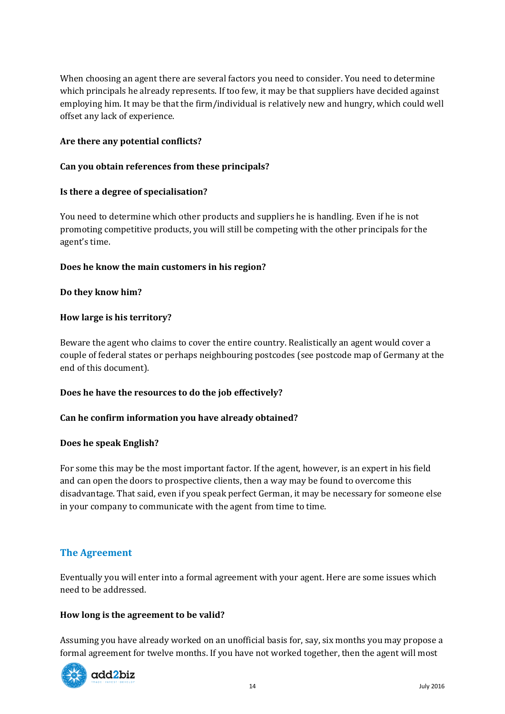When choosing an agent there are several factors you need to consider. You need to determine which principals he already represents. If too few, it may be that suppliers have decided against employing him. It may be that the firm/individual is relatively new and hungry, which could well offset any lack of experience.

#### **Are there any potential conflicts?**

### **Can you obtain references from these principals?**

#### **Is there a degree of specialisation?**

You need to determine which other products and suppliers he is handling. Even if he is not promoting competitive products, you will still be competing with the other principals for the agent's time.

### **Does he know the main customers in his region?**

### **Do they know him?**

### **How large is his territory?**

Beware the agent who claims to cover the entire country. Realistically an agent would cover a couple of federal states or perhaps neighbouring postcodes (see postcode map of Germany at the end of this document).

#### **Does he have the resources to do the job effectively?**

#### **Can he confirm information you have already obtained?**

#### **Does he speak English?**

For some this may be the most important factor. If the agent, however, is an expert in his field and can open the doors to prospective clients, then a way may be found to overcome this disadvantage. That said, even if you speak perfect German, it may be necessary for someone else in your company to communicate with the agent from time to time.

## <span id="page-13-0"></span>**The Agreement**

Eventually you will enter into a formal agreement with your agent. Here are some issues which need to be addressed.

#### **How long is the agreement to be valid?**

Assuming you have already worked on an unofficial basis for, say, six months you may propose a formal agreement for twelve months. If you have not worked together, then the agent will most

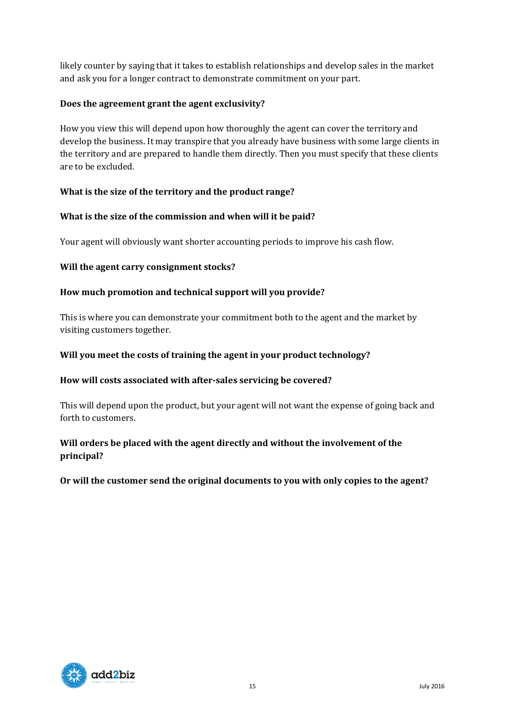likely counter by saying that it takes to establish relationships and develop sales in the market and ask you for a longer contract to demonstrate commitment on your part.

## **Does the agreement grant the agent exclusivity?**

How you view this will depend upon how thoroughly the agent can cover the territory and develop the business. It may transpire that you already have business with some large clients in the territory and are prepared to handle them directly. Then you must specify that these clients are to be excluded.

# **What is the size of the territory and the product range?**

# **What is the size of the commission and when will it be paid?**

Your agent will obviously want shorter accounting periods to improve his cash flow.

# **Will the agent carry consignment stocks?**

# **How much promotion and technical support will you provide?**

This is where you can demonstrate your commitment both to the agent and the market by visiting customers together.

## **Will you meet the costs of training the agent in your product technology?**

## **How will costs associated with after-sales servicing be covered?**

This will depend upon the product, but your agent will not want the expense of going back and forth to customers.

# **Will orders be placed with the agent directly and without the involvement of the principal?**

**Or will the customer send the original documents to you with only copies to the agent?**

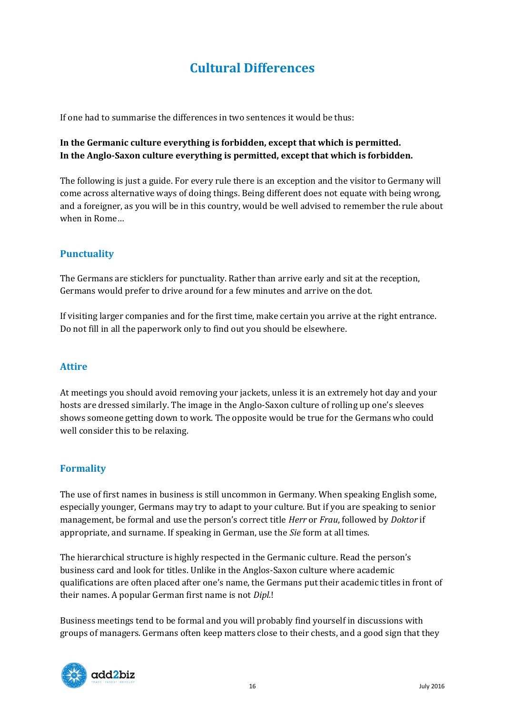# **Cultural Differences**

<span id="page-15-0"></span>If one had to summarise the differences in two sentences it would be thus:

# **In the Germanic culture everything is forbidden, except that which is permitted. In the Anglo-Saxon culture everything is permitted, except that which is forbidden.**

The following is just a guide. For every rule there is an exception and the visitor to Germany will come across alternative ways of doing things. Being different does not equate with being wrong, and a foreigner, as you will be in this country, would be well advised to remember the rule about when in Rome…

# **Punctuality**

The Germans are sticklers for punctuality. Rather than arrive early and sit at the reception, Germans would prefer to drive around for a few minutes and arrive on the dot.

If visiting larger companies and for the first time, make certain you arrive at the right entrance. Do not fill in all the paperwork only to find out you should be elsewhere.

# **Attire**

At meetings you should avoid removing your jackets, unless it is an extremely hot day and your hosts are dressed similarly. The image in the Anglo-Saxon culture of rolling up one's sleeves shows someone getting down to work. The opposite would be true for the Germans who could well consider this to be relaxing.

## **Formality**

The use of first names in business is still uncommon in Germany. When speaking English some, especially younger, Germans may try to adapt to your culture. But if you are speaking to senior management, be formal and use the person's correct title *Herr* or *Frau*, followed by *Doktor* if appropriate, and surname. If speaking in German, use the *Sie* form at all times.

The hierarchical structure is highly respected in the Germanic culture. Read the person's business card and look for titles. Unlike in the Anglos-Saxon culture where academic qualifications are often placed after one's name, the Germans put their academic titles in front of their names. A popular German first name is not *Dipl.*!

Business meetings tend to be formal and you will probably find yourself in discussions with groups of managers. Germans often keep matters close to their chests, and a good sign that they

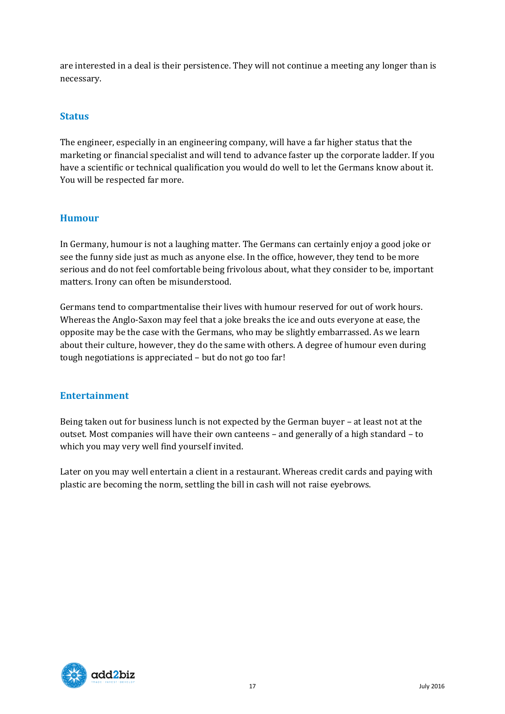are interested in a deal is their persistence. They will not continue a meeting any longer than is necessary.

# **Status**

The engineer, especially in an engineering company, will have a far higher status that the marketing or financial specialist and will tend to advance faster up the corporate ladder. If you have a scientific or technical qualification you would do well to let the Germans know about it. You will be respected far more.

# **Humour**

In Germany, humour is not a laughing matter. The Germans can certainly enjoy a good joke or see the funny side just as much as anyone else. In the office, however, they tend to be more serious and do not feel comfortable being frivolous about, what they consider to be, important matters. Irony can often be misunderstood.

Germans tend to compartmentalise their lives with humour reserved for out of work hours. Whereas the Anglo-Saxon may feel that a joke breaks the ice and outs everyone at ease, the opposite may be the case with the Germans, who may be slightly embarrassed. As we learn about their culture, however, they do the same with others. A degree of humour even during tough negotiations is appreciated – but do not go too far!

# **Entertainment**

Being taken out for business lunch is not expected by the German buyer – at least not at the outset. Most companies will have their own canteens – and generally of a high standard – to which you may very well find yourself invited.

Later on you may well entertain a client in a restaurant. Whereas credit cards and paying with plastic are becoming the norm, settling the bill in cash will not raise eyebrows.

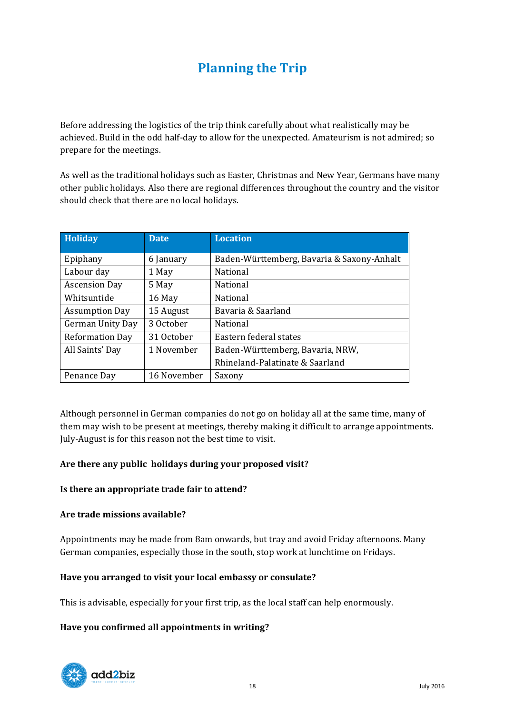# **Planning the Trip**

<span id="page-17-0"></span>Before addressing the logistics of the trip think carefully about what realistically may be achieved. Build in the odd half-day to allow for the unexpected. Amateurism is not admired; so prepare for the meetings.

As well as the traditional holidays such as Easter, Christmas and New Year, Germans have many other public holidays. Also there are regional differences throughout the country and the visitor should check that there are no local holidays.

| Holiday                | <b>Date</b> | <b>Location</b>                            |
|------------------------|-------------|--------------------------------------------|
| Epiphany               | 6 January   | Baden-Württemberg, Bavaria & Saxony-Anhalt |
| Labour day             | 1 May       | National                                   |
| <b>Ascension Day</b>   | 5 May       | National                                   |
| Whitsuntide            | 16 May      | National                                   |
| <b>Assumption Day</b>  | 15 August   | Bavaria & Saarland                         |
| German Unity Day       | 3 October   | National                                   |
| <b>Reformation Day</b> | 31 October  | Eastern federal states                     |
| All Saints' Day        | 1 November  | Baden-Württemberg, Bavaria, NRW,           |
|                        |             | Rhineland-Palatinate & Saarland            |
| Penance Day            | 16 November | Saxony                                     |

Although personnel in German companies do not go on holiday all at the same time, many of them may wish to be present at meetings, thereby making it difficult to arrange appointments. July-August is for this reason not the best time to visit.

## **Are there any public holidays during your proposed visit?**

#### **Is there an appropriate trade fair to attend?**

#### **Are trade missions available?**

Appointments may be made from 8am onwards, but tray and avoid Friday afternoons. Many German companies, especially those in the south, stop work at lunchtime on Fridays.

#### **Have you arranged to visit your local embassy or consulate?**

This is advisable, especially for your first trip, as the local staff can help enormously.

#### **Have you confirmed all appointments in writing?**

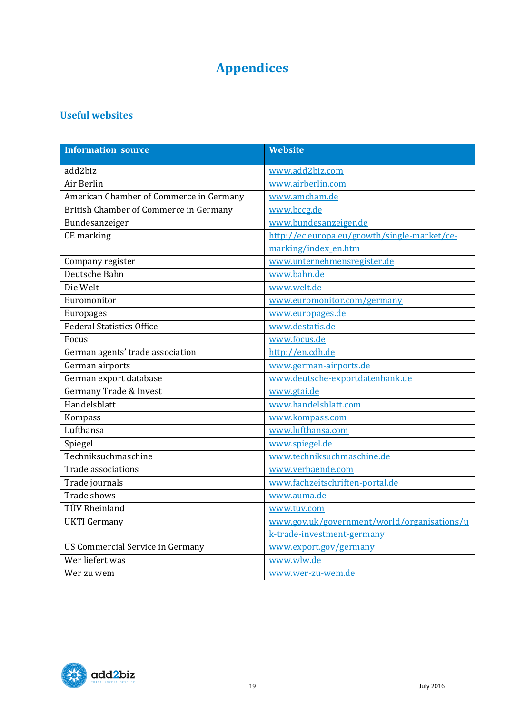# **Appendices**

# <span id="page-18-1"></span><span id="page-18-0"></span>**Useful websites**

| <b>Information source</b>               | <b>Website</b>                               |
|-----------------------------------------|----------------------------------------------|
| add2biz                                 | www.add2biz.com                              |
| Air Berlin                              | www.airberlin.com                            |
| American Chamber of Commerce in Germany | www.amcham.de                                |
| British Chamber of Commerce in Germany  | www.bccg.de                                  |
| Bundesanzeiger                          | www.bundesanzeiger.de                        |
| CE marking                              | http://ec.europa.eu/growth/single-market/ce- |
|                                         | marking/index_en.htm                         |
| Company register                        | www.unternehmensregister.de                  |
| Deutsche Bahn                           | www.bahn.de                                  |
| Die Welt                                | www.welt.de                                  |
| Euromonitor                             | www.euromonitor.com/germany                  |
| Europages                               | www.europages.de                             |
| <b>Federal Statistics Office</b>        | www.destatis.de                              |
| Focus                                   | www.focus.de                                 |
| German agents' trade association        | http://en.cdh.de                             |
| German airports                         | www.german-airports.de                       |
| German export database                  | www.deutsche-exportdatenbank.de              |
| <b>Germany Trade &amp; Invest</b>       | www.gtai.de                                  |
| Handelsblatt                            | www.handelsblatt.com                         |
| Kompass                                 | www.kompass.com                              |
| Lufthansa                               | www.lufthansa.com                            |
| Spiegel                                 | www.spiegel.de                               |
| Techniksuchmaschine                     | www.techniksuchmaschine.de                   |
| Trade associations                      | www.verbaende.com                            |
| Trade journals                          | www.fachzeitschriften-portal.de              |
| Trade shows                             | www.auma.de                                  |
| <b>TÜV Rheinland</b>                    | www.tuv.com                                  |
| <b>UKTI</b> Germany                     | www.gov.uk/government/world/organisations/u  |
|                                         | k-trade-investment-germany                   |
| <b>US Commercial Service in Germany</b> | www.export.gov/germany                       |
| Wer liefert was                         | www.wlw.de                                   |
| Wer zu wem                              | www.wer-zu-wem.de                            |